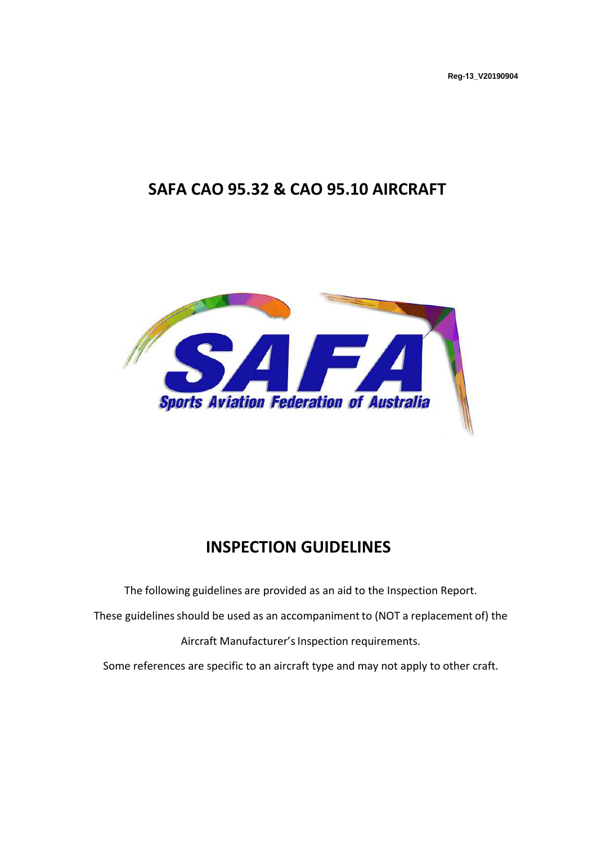**Reg-13\_V20190904**

# **SAFA CAO 95.32 & CAO 95.10 AIRCRAFT**



# **INSPECTION GUIDELINES**

The following guidelines are provided as an aid to the Inspection Report. These guidelines should be used as an accompaniment to (NOT a replacement of) the Aircraft Manufacturer's Inspection requirements. Some references are specific to an aircraft type and may not apply to other craft.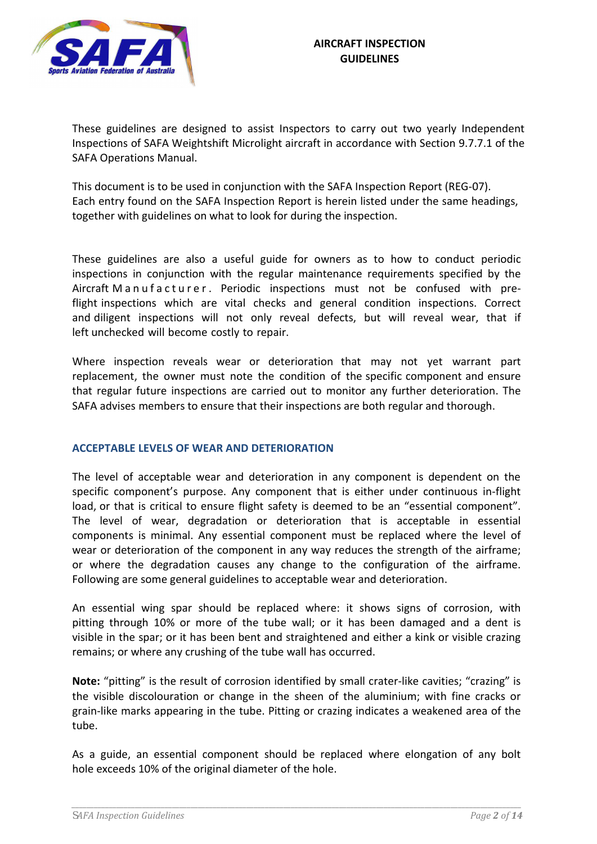

These guidelines are designed to assist Inspectors to carry out two yearly Independent Inspections of SAFA Weightshift Microlight aircraft in accordance with Section 9.7.7.1 of the SAFA Operations Manual.

This document is to be used in conjunction with the SAFA Inspection Report (REG-07). Each entry found on the SAFA Inspection Report is herein listed under the same headings, together with guidelines on what to look for during the inspection.

These guidelines are also a useful guide for owners as to how to conduct periodic inspections in conjunction with the regular maintenance requirements specified by the Aircraft M a n u f a c t u r e r. Periodic inspections must not be confused with preflight inspections which are vital checks and general condition inspections. Correct and diligent inspections will not only reveal defects, but will reveal wear, that if left unchecked will become costly to repair.

Where inspection reveals wear or deterioration that may not yet warrant part replacement, the owner must note the condition of the specific component and ensure that regular future inspections are carried out to monitor any further deterioration. The SAFA advises members to ensure that their inspections are both regular and thorough.

## **ACCEPTABLE LEVELS OF WEAR AND DETERIORATION**

The level of acceptable wear and deterioration in any component is dependent on the specific component's purpose. Any component that is either under continuous in-flight load, or that is critical to ensure flight safety is deemed to be an "essential component". The level of wear, degradation or deterioration that is acceptable in essential components is minimal. Any essential component must be replaced where the level of wear or deterioration of the component in any way reduces the strength of the airframe; or where the degradation causes any change to the configuration of the airframe. Following are some general guidelines to acceptable wear and deterioration.

An essential wing spar should be replaced where: it shows signs of corrosion, with pitting through 10% or more of the tube wall; or it has been damaged and a dent is visible in the spar; or it has been bent and straightened and either a kink or visible crazing remains; or where any crushing of the tube wall has occurred.

**Note:** "pitting" is the result of corrosion identified by small crater-like cavities; "crazing" is the visible discolouration or change in the sheen of the aluminium; with fine cracks or grain-like marks appearing in the tube. Pitting or crazing indicates a weakened area of the tube.

As a guide, an essential component should be replaced where elongation of any bolt hole exceeds 10% of the original diameter of the hole.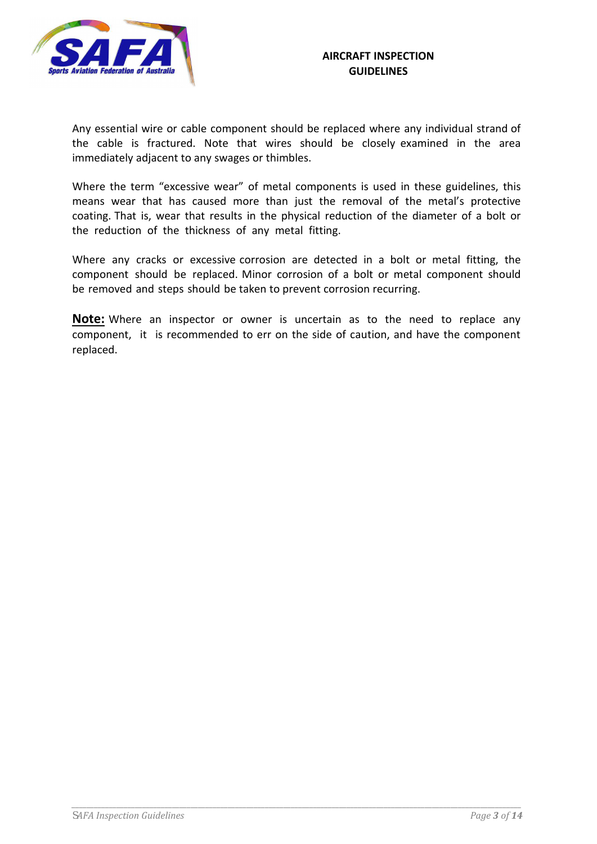

Any essential wire or cable component should be replaced where any individual strand of the cable is fractured. Note that wires should be closely examined in the area immediately adjacent to any swages or thimbles.

Where the term "excessive wear" of metal components is used in these guidelines, this means wear that has caused more than just the removal of the metal's protective coating. That is, wear that results in the physical reduction of the diameter of a bolt or the reduction of the thickness of any metal fitting.

Where any cracks or excessive corrosion are detected in a bolt or metal fitting, the component should be replaced. Minor corrosion of a bolt or metal component should be removed and steps should be taken to prevent corrosion recurring.

**Note:** Where an inspector or owner is uncertain as to the need to replace any component, it is recommended to err on the side of caution, and have the component replaced.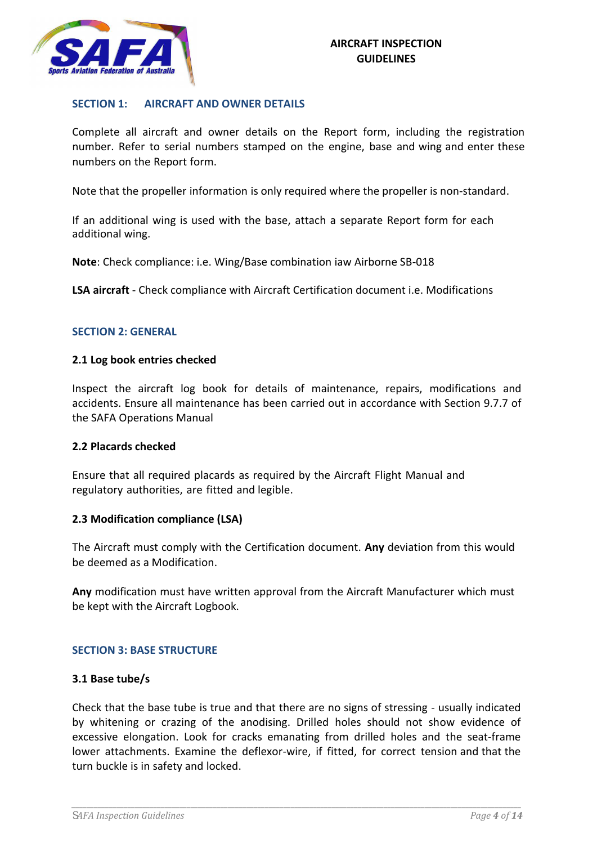

## **SECTION 1: AIRCRAFT AND OWNER DETAILS**

Complete all aircraft and owner details on the Report form, including the registration number. Refer to serial numbers stamped on the engine, base and wing and enter these numbers on the Report form.

Note that the propeller information is only required where the propeller is non-standard.

If an additional wing is used with the base, attach a separate Report form for each additional wing.

**Note**: Check compliance: i.e. Wing/Base combination iaw Airborne SB-018

**LSA aircraft** - Check compliance with Aircraft Certification document i.e. Modifications

#### **SECTION 2: GENERAL**

#### **2.1 Log book entries checked**

Inspect the aircraft log book for details of maintenance, repairs, modifications and accidents. Ensure all maintenance has been carried out in accordance with Section 9.7.7 of the SAFA Operations Manual

#### **2.2 Placards checked**

Ensure that all required placards as required by the Aircraft Flight Manual and regulatory authorities, are fitted and legible.

#### **2.3 Modification compliance (LSA)**

The Aircraft must comply with the Certification document. **Any** deviation from this would be deemed as a Modification.

**Any** modification must have written approval from the Aircraft Manufacturer which must be kept with the Aircraft Logbook.

#### **SECTION 3: BASE STRUCTURE**

#### **3.1 Base tube/s**

Check that the base tube is true and that there are no signs of stressing - usually indicated by whitening or crazing of the anodising. Drilled holes should not show evidence of excessive elongation. Look for cracks emanating from drilled holes and the seat-frame lower attachments. Examine the deflexor-wire, if fitted, for correct tension and that the turn buckle is in safety and locked.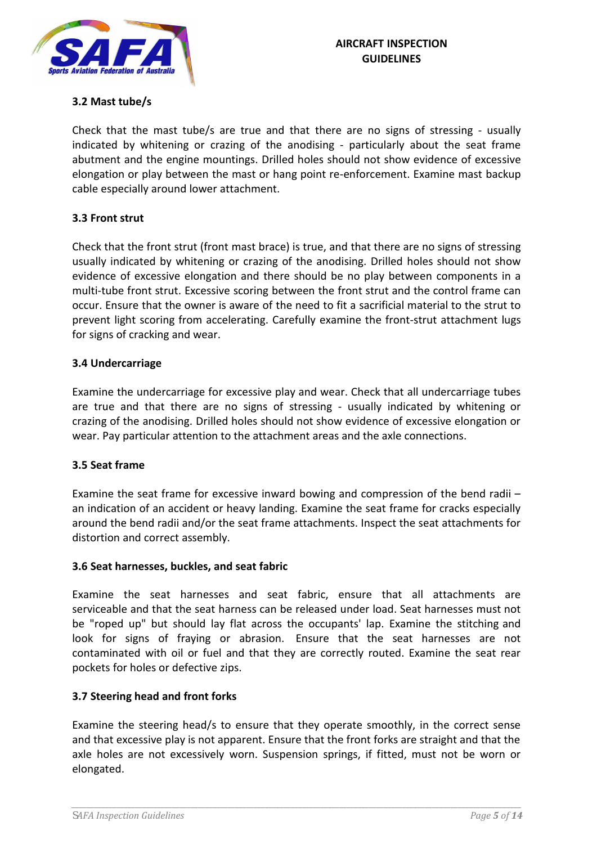

# **3.2 Mast tube/s**

Check that the mast tube/s are true and that there are no signs of stressing - usually indicated by whitening or crazing of the anodising - particularly about the seat frame abutment and the engine mountings. Drilled holes should not show evidence of excessive elongation or play between the mast or hang point re-enforcement. Examine mast backup cable especially around lower attachment.

# **3.3 Front strut**

Check that the front strut (front mast brace) is true, and that there are no signs of stressing usually indicated by whitening or crazing of the anodising. Drilled holes should not show evidence of excessive elongation and there should be no play between components in a multi-tube front strut. Excessive scoring between the front strut and the control frame can occur. Ensure that the owner is aware of the need to fit a sacrificial material to the strut to prevent light scoring from accelerating. Carefully examine the front-strut attachment lugs for signs of cracking and wear.

## **3.4 Undercarriage**

Examine the undercarriage for excessive play and wear. Check that all undercarriage tubes are true and that there are no signs of stressing - usually indicated by whitening or crazing of the anodising. Drilled holes should not show evidence of excessive elongation or wear. Pay particular attention to the attachment areas and the axle connections.

## **3.5 Seat frame**

Examine the seat frame for excessive inward bowing and compression of the bend radii – an indication of an accident or heavy landing. Examine the seat frame for cracks especially around the bend radii and/or the seat frame attachments. Inspect the seat attachments for distortion and correct assembly.

## **3.6 Seat harnesses, buckles, and seat fabric**

Examine the seat harnesses and seat fabric, ensure that all attachments are serviceable and that the seat harness can be released under load. Seat harnesses must not be "roped up" but should lay flat across the occupants' lap. Examine the stitching and look for signs of fraying or abrasion. Ensure that the seat harnesses are not contaminated with oil or fuel and that they are correctly routed. Examine the seat rear pockets for holes or defective zips.

## **3.7 Steering head and front forks**

Examine the steering head/s to ensure that they operate smoothly, in the correct sense and that excessive play is not apparent. Ensure that the front forks are straight and that the axle holes are not excessively worn. Suspension springs, if fitted, must not be worn or elongated.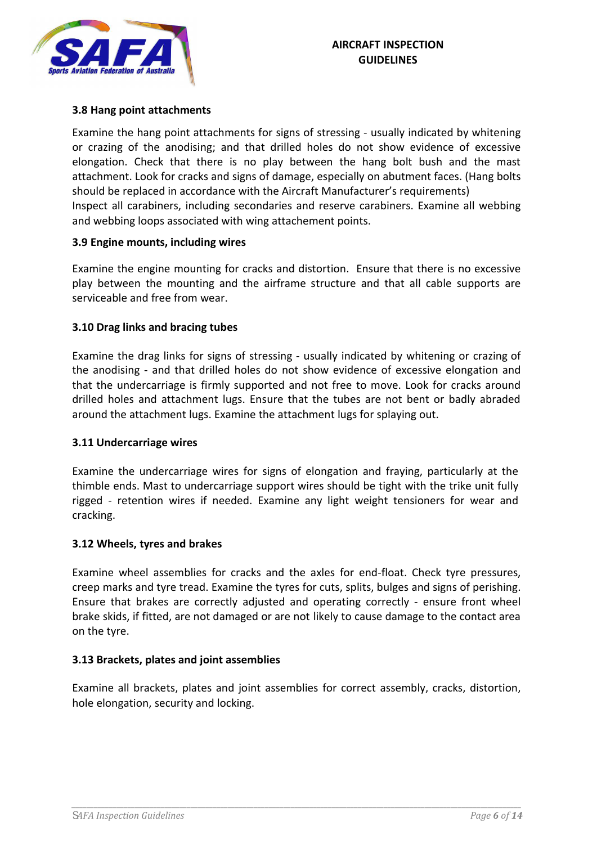

## **3.8 Hang point attachments**

Examine the hang point attachments for signs of stressing - usually indicated by whitening or crazing of the anodising; and that drilled holes do not show evidence of excessive elongation. Check that there is no play between the hang bolt bush and the mast attachment. Look for cracks and signs of damage, especially on abutment faces. (Hang bolts should be replaced in accordance with the Aircraft Manufacturer's requirements) Inspect all carabiners, including secondaries and reserve carabiners. Examine all webbing and webbing loops associated with wing attachement points.

## **3.9 Engine mounts, including wires**

Examine the engine mounting for cracks and distortion. Ensure that there is no excessive play between the mounting and the airframe structure and that all cable supports are serviceable and free from wear.

# **3.10 Drag links and bracing tubes**

Examine the drag links for signs of stressing - usually indicated by whitening or crazing of the anodising - and that drilled holes do not show evidence of excessive elongation and that the undercarriage is firmly supported and not free to move. Look for cracks around drilled holes and attachment lugs. Ensure that the tubes are not bent or badly abraded around the attachment lugs. Examine the attachment lugs for splaying out.

## **3.11 Undercarriage wires**

Examine the undercarriage wires for signs of elongation and fraying, particularly at the thimble ends. Mast to undercarriage support wires should be tight with the trike unit fully rigged - retention wires if needed. Examine any light weight tensioners for wear and cracking.

## **3.12 Wheels, tyres and brakes**

Examine wheel assemblies for cracks and the axles for end-float. Check tyre pressures, creep marks and tyre tread. Examine the tyres for cuts, splits, bulges and signs of perishing. Ensure that brakes are correctly adjusted and operating correctly - ensure front wheel brake skids, if fitted, are not damaged or are not likely to cause damage to the contact area on the tyre.

## **3.13 Brackets, plates and joint assemblies**

Examine all brackets, plates and joint assemblies for correct assembly, cracks, distortion, hole elongation, security and locking.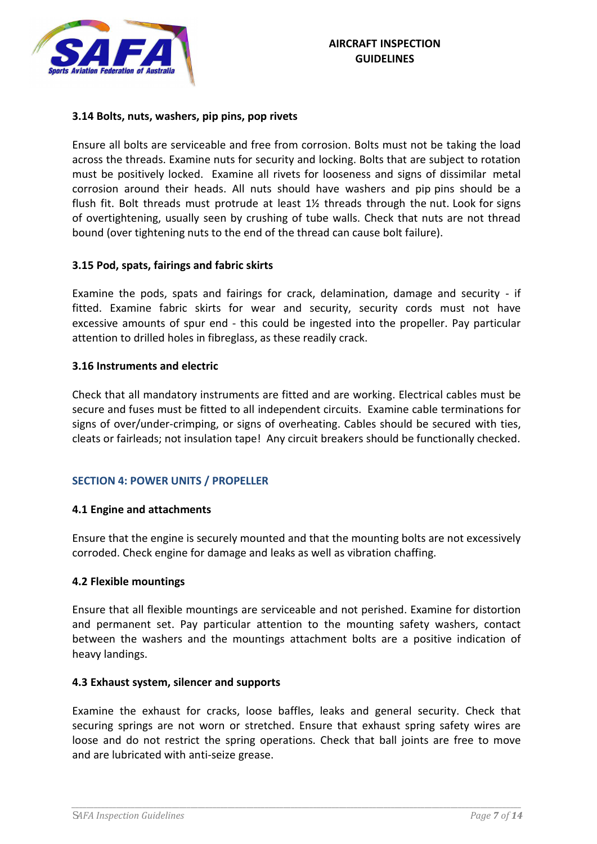

#### **3.14 Bolts, nuts, washers, pip pins, pop rivets**

Ensure all bolts are serviceable and free from corrosion. Bolts must not be taking the load across the threads. Examine nuts for security and locking. Bolts that are subject to rotation must be positively locked. Examine all rivets for looseness and signs of dissimilar metal corrosion around their heads. All nuts should have washers and pip pins should be a flush fit. Bolt threads must protrude at least  $1\frac{1}{2}$  threads through the nut. Look for signs of overtightening, usually seen by crushing of tube walls. Check that nuts are not thread bound (over tightening nuts to the end of the thread can cause bolt failure).

#### **3.15 Pod, spats, fairings and fabric skirts**

Examine the pods, spats and fairings for crack, delamination, damage and security - if fitted. Examine fabric skirts for wear and security, security cords must not have excessive amounts of spur end - this could be ingested into the propeller. Pay particular attention to drilled holes in fibreglass, as these readily crack.

#### **3.16 Instruments and electric**

Check that all mandatory instruments are fitted and are working. Electrical cables must be secure and fuses must be fitted to all independent circuits. Examine cable terminations for signs of over/under-crimping, or signs of overheating. Cables should be secured with ties, cleats or fairleads; not insulation tape! Any circuit breakers should be functionally checked.

## **SECTION 4: POWER UNITS / PROPELLER**

#### **4.1 Engine and attachments**

Ensure that the engine is securely mounted and that the mounting bolts are not excessively corroded. Check engine for damage and leaks as well as vibration chaffing.

#### **4.2 Flexible mountings**

Ensure that all flexible mountings are serviceable and not perished. Examine for distortion and permanent set. Pay particular attention to the mounting safety washers, contact between the washers and the mountings attachment bolts are a positive indication of heavy landings.

#### **4.3 Exhaust system, silencer and supports**

Examine the exhaust for cracks, loose baffles, leaks and general security. Check that securing springs are not worn or stretched. Ensure that exhaust spring safety wires are loose and do not restrict the spring operations. Check that ball joints are free to move and are lubricated with anti-seize grease.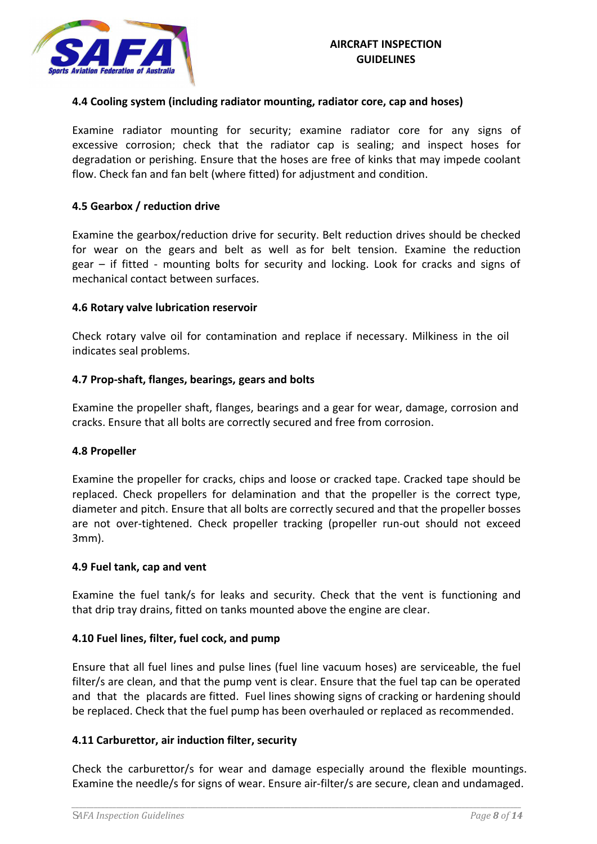

## **4.4 Cooling system (including radiator mounting, radiator core, cap and hoses)**

Examine radiator mounting for security; examine radiator core for any signs of excessive corrosion; check that the radiator cap is sealing; and inspect hoses for degradation or perishing. Ensure that the hoses are free of kinks that may impede coolant flow. Check fan and fan belt (where fitted) for adjustment and condition.

## **4.5 Gearbox / reduction drive**

Examine the gearbox/reduction drive for security. Belt reduction drives should be checked for wear on the gears and belt as well as for belt tension. Examine the reduction gear – if fitted - mounting bolts for security and locking. Look for cracks and signs of mechanical contact between surfaces.

#### **4.6 Rotary valve lubrication reservoir**

Check rotary valve oil for contamination and replace if necessary. Milkiness in the oil indicates seal problems.

#### **4.7 Prop-shaft, flanges, bearings, gears and bolts**

Examine the propeller shaft, flanges, bearings and a gear for wear, damage, corrosion and cracks. Ensure that all bolts are correctly secured and free from corrosion.

#### **4.8 Propeller**

Examine the propeller for cracks, chips and loose or cracked tape. Cracked tape should be replaced. Check propellers for delamination and that the propeller is the correct type, diameter and pitch. Ensure that all bolts are correctly secured and that the propeller bosses are not over-tightened. Check propeller tracking (propeller run-out should not exceed 3mm).

#### **4.9 Fuel tank, cap and vent**

Examine the fuel tank/s for leaks and security. Check that the vent is functioning and that drip tray drains, fitted on tanks mounted above the engine are clear.

#### **4.10 Fuel lines, filter, fuel cock, and pump**

Ensure that all fuel lines and pulse lines (fuel line vacuum hoses) are serviceable, the fuel filter/s are clean, and that the pump vent is clear. Ensure that the fuel tap can be operated and that the placards are fitted. Fuel lines showing signs of cracking or hardening should be replaced. Check that the fuel pump has been overhauled or replaced as recommended.

#### **4.11 Carburettor, air induction filter, security**

Check the carburettor/s for wear and damage especially around the flexible mountings. Examine the needle/s for signs of wear. Ensure air-filter/s are secure, clean and undamaged.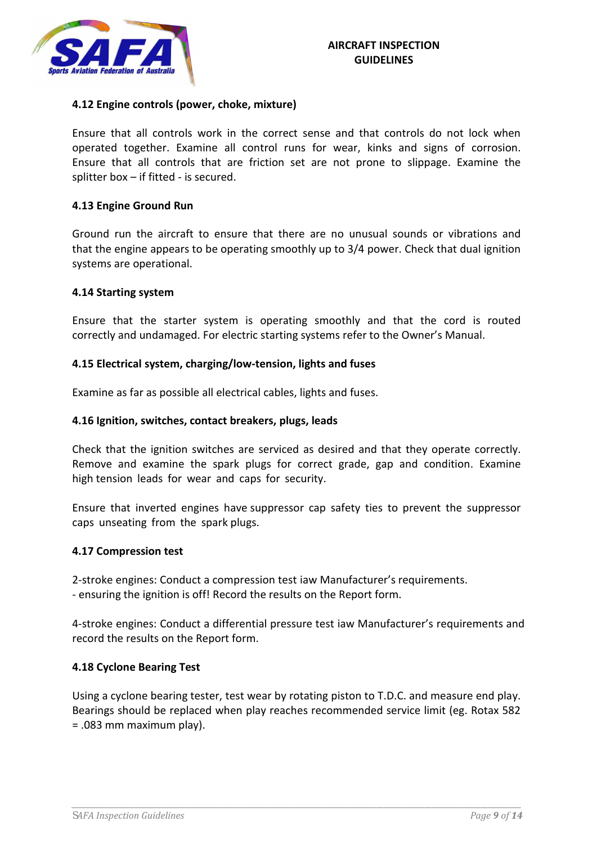

## **4.12 Engine controls (power, choke, mixture)**

Ensure that all controls work in the correct sense and that controls do not lock when operated together. Examine all control runs for wear, kinks and signs of corrosion. Ensure that all controls that are friction set are not prone to slippage. Examine the splitter box – if fitted - is secured.

#### **4.13 Engine Ground Run**

Ground run the aircraft to ensure that there are no unusual sounds or vibrations and that the engine appears to be operating smoothly up to 3/4 power. Check that dual ignition systems are operational.

#### **4.14 Starting system**

Ensure that the starter system is operating smoothly and that the cord is routed correctly and undamaged. For electric starting systems refer to the Owner's Manual.

#### **4.15 Electrical system, charging/low-tension, lights and fuses**

Examine as far as possible all electrical cables, lights and fuses.

#### **4.16 Ignition, switches, contact breakers, plugs, leads**

Check that the ignition switches are serviced as desired and that they operate correctly. Remove and examine the spark plugs for correct grade, gap and condition. Examine high tension leads for wear and caps for security.

Ensure that inverted engines have suppressor cap safety ties to prevent the suppressor caps unseating from the spark plugs.

#### **4.17 Compression test**

2-stroke engines: Conduct a compression test iaw Manufacturer's requirements. - ensuring the ignition is off! Record the results on the Report form.

4-stroke engines: Conduct a differential pressure test iaw Manufacturer's requirements and record the results on the Report form.

#### **4.18 Cyclone Bearing Test**

Using a cyclone bearing tester, test wear by rotating piston to T.D.C. and measure end play. Bearings should be replaced when play reaches recommended service limit (eg. Rotax 582 = .083 mm maximum play).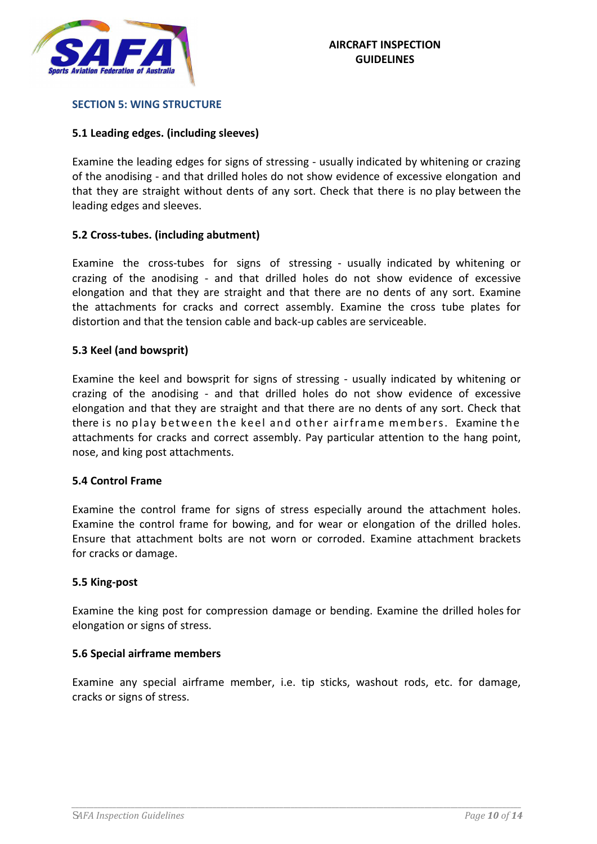

#### **SECTION 5: WING STRUCTURE**

## **5.1 Leading edges. (including sleeves)**

Examine the leading edges for signs of stressing - usually indicated by whitening or crazing of the anodising - and that drilled holes do not show evidence of excessive elongation and that they are straight without dents of any sort. Check that there is no play between the leading edges and sleeves.

## **5.2 Cross-tubes. (including abutment)**

Examine the cross-tubes for signs of stressing - usually indicated by whitening or crazing of the anodising - and that drilled holes do not show evidence of excessive elongation and that they are straight and that there are no dents of any sort. Examine the attachments for cracks and correct assembly. Examine the cross tube plates for distortion and that the tension cable and back-up cables are serviceable.

## **5.3 Keel (and bowsprit)**

Examine the keel and bowsprit for signs of stressing - usually indicated by whitening or crazing of the anodising - and that drilled holes do not show evidence of excessive elongation and that they are straight and that there are no dents of any sort. Check that there is no play between the keel and other airframe members. Examine the attachments for cracks and correct assembly. Pay particular attention to the hang point, nose, and king post attachments.

## **5.4 Control Frame**

Examine the control frame for signs of stress especially around the attachment holes. Examine the control frame for bowing, and for wear or elongation of the drilled holes. Ensure that attachment bolts are not worn or corroded. Examine attachment brackets for cracks or damage.

## **5.5 King-post**

Examine the king post for compression damage or bending. Examine the drilled holes for elongation or signs of stress.

## **5.6 Special airframe members**

Examine any special airframe member, i.e. tip sticks, washout rods, etc. for damage, cracks or signs of stress.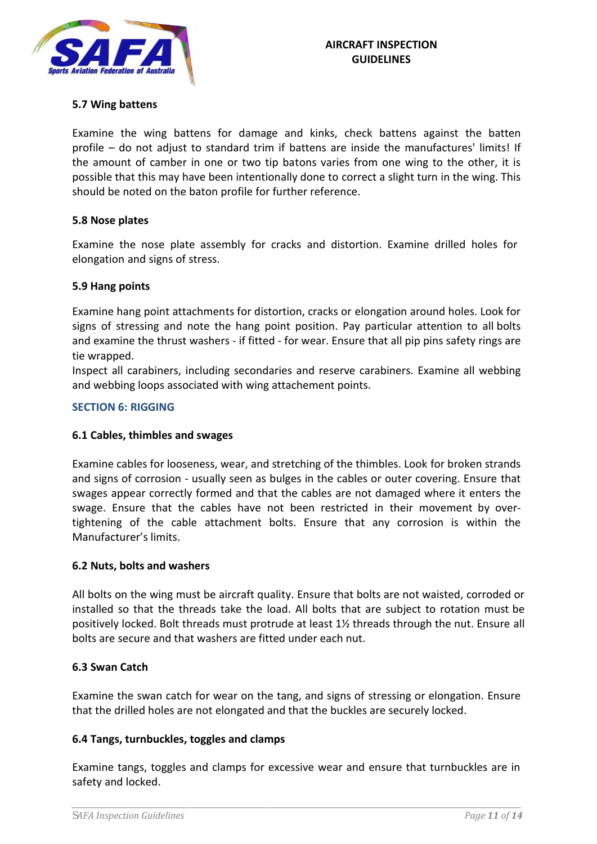

## **5.7 Wing battens**

Examine the wing battens for damage and kinks, check battens against the batten profile – do not adjust to standard trim if battens are inside the manufactures' limits! If the amount of camber in one or two tip batons varies from one wing to the other, it is possible that this may have been intentionally done to correct a slight turn in the wing. This should be noted on the baton profile for further reference.

## **5.8 Nose plates**

Examine the nose plate assembly for cracks and distortion. Examine drilled holes for elongation and signs of stress.

# **5.9 Hang points**

Examine hang point attachments for distortion, cracks or elongation around holes. Look for signs of stressing and note the hang point position. Pay particular attention to all bolts and examine the thrust washers - if fitted - for wear. Ensure that all pip pins safety rings are tie wrapped.

Inspect all carabiners, including secondaries and reserve carabiners. Examine all webbing and webbing loops associated with wing attachement points.

# **SECTION 6: RIGGING**

## **6.1 Cables, thimbles and swages**

Examine cables for looseness, wear, and stretching of the thimbles. Look for broken strands and signs of corrosion - usually seen as bulges in the cables or outer covering. Ensure that swages appear correctly formed and that the cables are not damaged where it enters the swage. Ensure that the cables have not been restricted in their movement by overtightening of the cable attachment bolts. Ensure that any corrosion is within the Manufacturer's limits.

## **6.2 Nuts, bolts and washers**

All bolts on the wing must be aircraft quality. Ensure that bolts are not waisted, corroded or installed so that the threads take the load. All bolts that are subject to rotation must be positively locked. Bolt threads must protrude at least 1½ threads through the nut. Ensure all bolts are secure and that washers are fitted under each nut.

## **6.3 Swan Catch**

Examine the swan catch for wear on the tang, and signs of stressing or elongation. Ensure that the drilled holes are not elongated and that the buckles are securely locked.

## **6.4 Tangs, turnbuckles, toggles and clamps**

Examine tangs, toggles and clamps for excessive wear and ensure that turnbuckles are in safety and locked.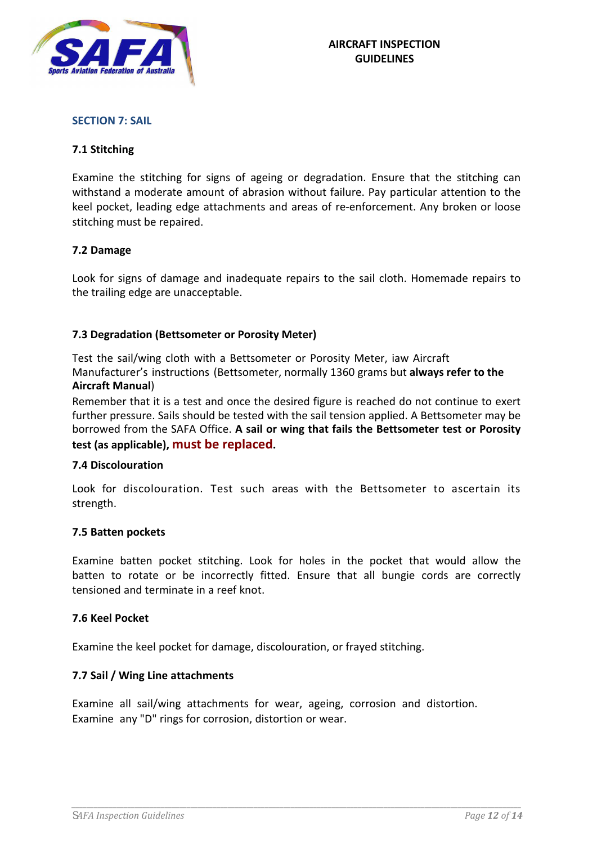

#### **SECTION 7: SAIL**

## **7.1 Stitching**

Examine the stitching for signs of ageing or degradation. Ensure that the stitching can withstand a moderate amount of abrasion without failure. Pay particular attention to the keel pocket, leading edge attachments and areas of re-enforcement. Any broken or loose stitching must be repaired.

#### **7.2 Damage**

Look for signs of damage and inadequate repairs to the sail cloth. Homemade repairs to the trailing edge are unacceptable.

## **7.3 Degradation (Bettsometer or Porosity Meter)**

Test the sail/wing cloth with a Bettsometer or Porosity Meter, iaw Aircraft Manufacturer's instructions (Bettsometer, normally 1360 grams but **always refer to the Aircraft Manual**)

Remember that it is a test and once the desired figure is reached do not continue to exert further pressure. Sails should be tested with the sail tension applied. A Bettsometer may be borrowed from the SAFA Office. **A sail or wing that fails the Bettsometer test or Porosity test (as applicable), must be replaced.**

#### **7.4 Discolouration**

Look for discolouration. Test such areas with the Bettsometer to ascertain its strength.

#### **7.5 Batten pockets**

Examine batten pocket stitching. Look for holes in the pocket that would allow the batten to rotate or be incorrectly fitted. Ensure that all bungie cords are correctly tensioned and terminate in a reef knot.

#### **7.6 Keel Pocket**

Examine the keel pocket for damage, discolouration, or frayed stitching.

## **7.7 Sail / Wing Line attachments**

Examine all sail/wing attachments for wear, ageing, corrosion and distortion. Examine any "D" rings for corrosion, distortion or wear.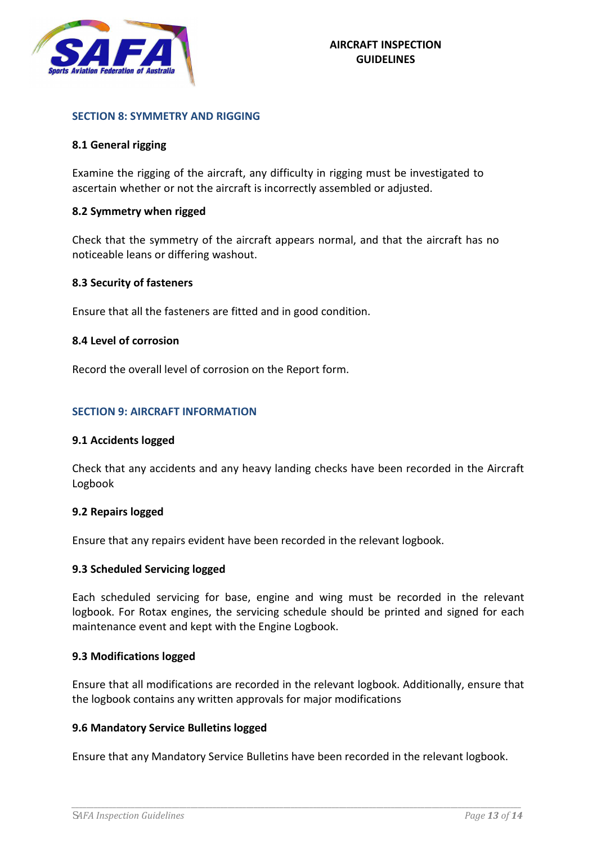

#### **SECTION 8: SYMMETRY AND RIGGING**

## **8.1 General rigging**

Examine the rigging of the aircraft, any difficulty in rigging must be investigated to ascertain whether or not the aircraft is incorrectly assembled or adjusted.

#### **8.2 Symmetry when rigged**

Check that the symmetry of the aircraft appears normal, and that the aircraft has no noticeable leans or differing washout.

#### **8.3 Security of fasteners**

Ensure that all the fasteners are fitted and in good condition.

#### **8.4 Level of corrosion**

Record the overall level of corrosion on the Report form.

#### **SECTION 9: AIRCRAFT INFORMATION**

#### **9.1 Accidents logged**

Check that any accidents and any heavy landing checks have been recorded in the Aircraft Logbook

#### **9.2 Repairs logged**

Ensure that any repairs evident have been recorded in the relevant logbook.

#### **9.3 Scheduled Servicing logged**

Each scheduled servicing for base, engine and wing must be recorded in the relevant logbook. For Rotax engines, the servicing schedule should be printed and signed for each maintenance event and kept with the Engine Logbook.

## **9.3 Modifications logged**

Ensure that all modifications are recorded in the relevant logbook. Additionally, ensure that the logbook contains any written approvals for major modifications

## **9.6 Mandatory Service Bulletins logged**

Ensure that any Mandatory Service Bulletins have been recorded in the relevant logbook.